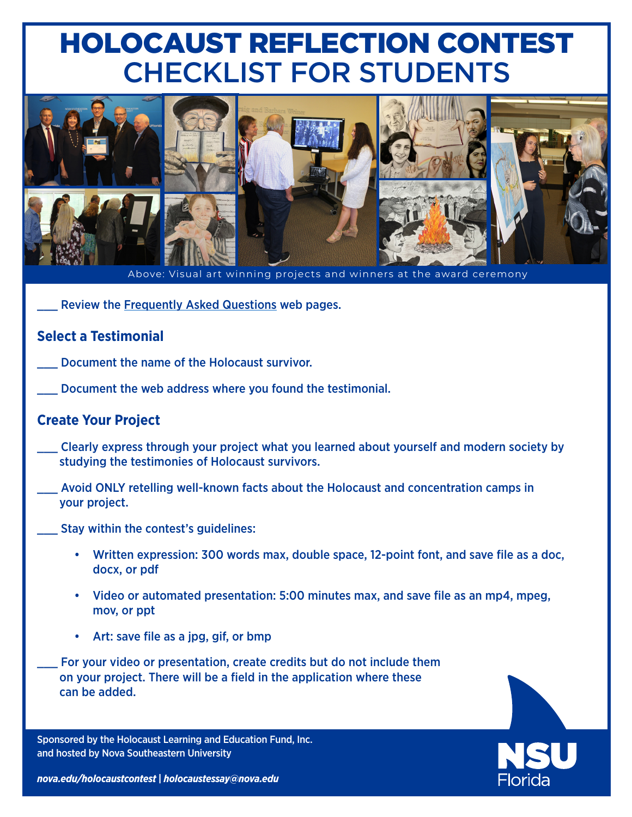# HOLOCAUST REFLECTION CONTEST CHECKLIST FOR STUDENTS



Above: Visual art winning projects and winners at the award ceremony

Review the [Frequently Asked Questions](https://www.nova.edu/holocaustcontest/faq.html) web pages.

### **Select a Testimonial**

- Document the name of the Holocaust survivor.
	- Document the web address where you found the testimonial.

#### **Create Your Project**

- Clearly express through your project what you learned about yourself and modern society by studying the testimonies of Holocaust survivors.
- Avoid ONLY retelling well-known facts about the Holocaust and concentration camps in your project.
- Stay within the contest's guidelines:
	- Written expression: 300 words max, double space, 12-point font, and save file as a doc, docx, or pdf
	- Video or automated presentation: 5:00 minutes max, and save file as an mp4, mpeg, mov, or ppt
	- Art: save file as a jpg, gif, or bmp
- For your video or presentation, create credits but do not include them on your project. There will be a field in the application where these can be added.

Sponsored by the Holocaust Learning and Education Fund, Inc. and hosted by Nova Southeastern University



*[nova.edu/holocaustcontest](https://www.nova.edu/holocaustcontest/)* **|** *[holocaustessay@nova.edu](mailto:holocaustessay@nova.edu)*